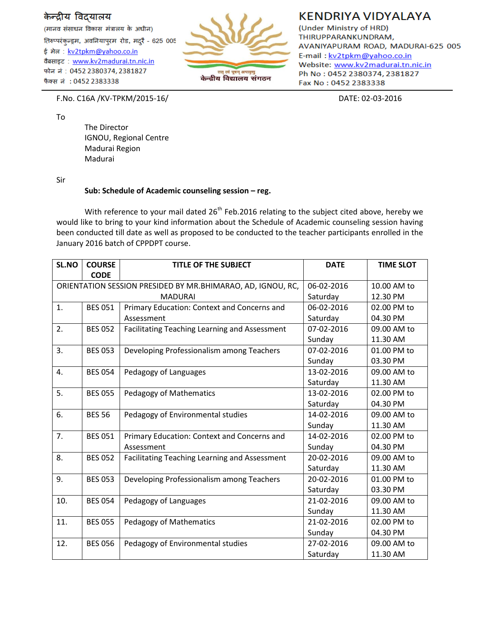## केन्द्रीय विदयालय

(मानव संसाधन विकास मंत्रालय के अधीन) तिरुप्परंकन्ड्रम, अवनियापुरम रोड, मदुरै - 625 005 ई मेल: kv2tpkm@yahoo.co.in वैबसाइट: www.kv2madurai.tn.nic.in फोन नं: 0452 2380374, 2381827 फैक्स नं : 0452 2383338



## **KENDRIYA VIDYALAYA**

(Under Ministry of HRD) THIRUPPARANKUNDRAM, AVANIYAPURAM ROAD, MADURAI-625 005 E-mail: kv2tpkm@yahoo.co.in Website: www.kv2madurai.tn.nic.in Ph No: 0452 2380374, 2381827 Fax No: 0452 2383338

F.No. C16A /KV-TPKM/2015-16/ DATE: 02-03-2016

To

The Director IGNOU, Regional Centre Madurai Region Madurai

Sir

## **Sub: Schedule of Academic counseling session – reg.**

With reference to your mail dated 26<sup>th</sup> Feb.2016 relating to the subject cited above, hereby we would like to bring to your kind information about the Schedule of Academic counseling session having been conducted till date as well as proposed to be conducted to the teacher participants enrolled in the January 2016 batch of CPPDPT course.

| SL.NO                                                       | <b>COURSE</b><br><b>CODE</b> | <b>TITLE OF THE SUBJECT</b>                   | <b>DATE</b> | <b>TIME SLOT</b> |
|-------------------------------------------------------------|------------------------------|-----------------------------------------------|-------------|------------------|
| ORIENTATION SESSION PRESIDED BY MR.BHIMARAO, AD, IGNOU, RC, |                              | 06-02-2016                                    | 10.00 AM to |                  |
| <b>MADURAI</b>                                              |                              |                                               | Saturday    | 12.30 PM         |
| 1.                                                          | <b>BES 051</b>               | Primary Education: Context and Concerns and   | 06-02-2016  | 02.00 PM to      |
|                                                             |                              | Assessment                                    | Saturday    | 04.30 PM         |
| 2.                                                          | <b>BES 052</b>               | Facilitating Teaching Learning and Assessment | 07-02-2016  | 09.00 AM to      |
|                                                             |                              |                                               | Sunday      | 11.30 AM         |
| 3.                                                          | <b>BES 053</b>               | Developing Professionalism among Teachers     | 07-02-2016  | 01.00 PM to      |
|                                                             |                              |                                               | Sunday      | 03.30 PM         |
| 4.                                                          | <b>BES 054</b>               | Pedagogy of Languages                         | 13-02-2016  | 09.00 AM to      |
|                                                             |                              |                                               | Saturday    | 11.30 AM         |
| 5.                                                          | <b>BES 055</b>               | Pedagogy of Mathematics                       | 13-02-2016  | 02.00 PM to      |
|                                                             |                              |                                               | Saturday    | 04.30 PM         |
| 6.                                                          | <b>BES 56</b>                | Pedagogy of Environmental studies             | 14-02-2016  | 09.00 AM to      |
|                                                             |                              |                                               | Sunday      | 11.30 AM         |
| 7.                                                          | <b>BES 051</b>               | Primary Education: Context and Concerns and   | 14-02-2016  | 02.00 PM to      |
|                                                             |                              | Assessment                                    | Sunday      | 04.30 PM         |
| 8.                                                          | <b>BES 052</b>               | Facilitating Teaching Learning and Assessment | 20-02-2016  | 09.00 AM to      |
|                                                             |                              |                                               | Saturday    | 11.30 AM         |
| 9.                                                          | <b>BES 053</b>               | Developing Professionalism among Teachers     | 20-02-2016  | 01.00 PM to      |
|                                                             |                              |                                               | Saturday    | 03.30 PM         |
| 10.                                                         | <b>BES 054</b>               | Pedagogy of Languages                         | 21-02-2016  | 09.00 AM to      |
|                                                             |                              |                                               | Sunday      | 11.30 AM         |
| 11.                                                         | <b>BES 055</b>               | Pedagogy of Mathematics                       | 21-02-2016  | 02.00 PM to      |
|                                                             |                              |                                               | Sunday      | 04.30 PM         |
| 12.                                                         | <b>BES 056</b>               | Pedagogy of Environmental studies             | 27-02-2016  | 09.00 AM to      |
|                                                             |                              |                                               | Saturday    | 11.30 AM         |